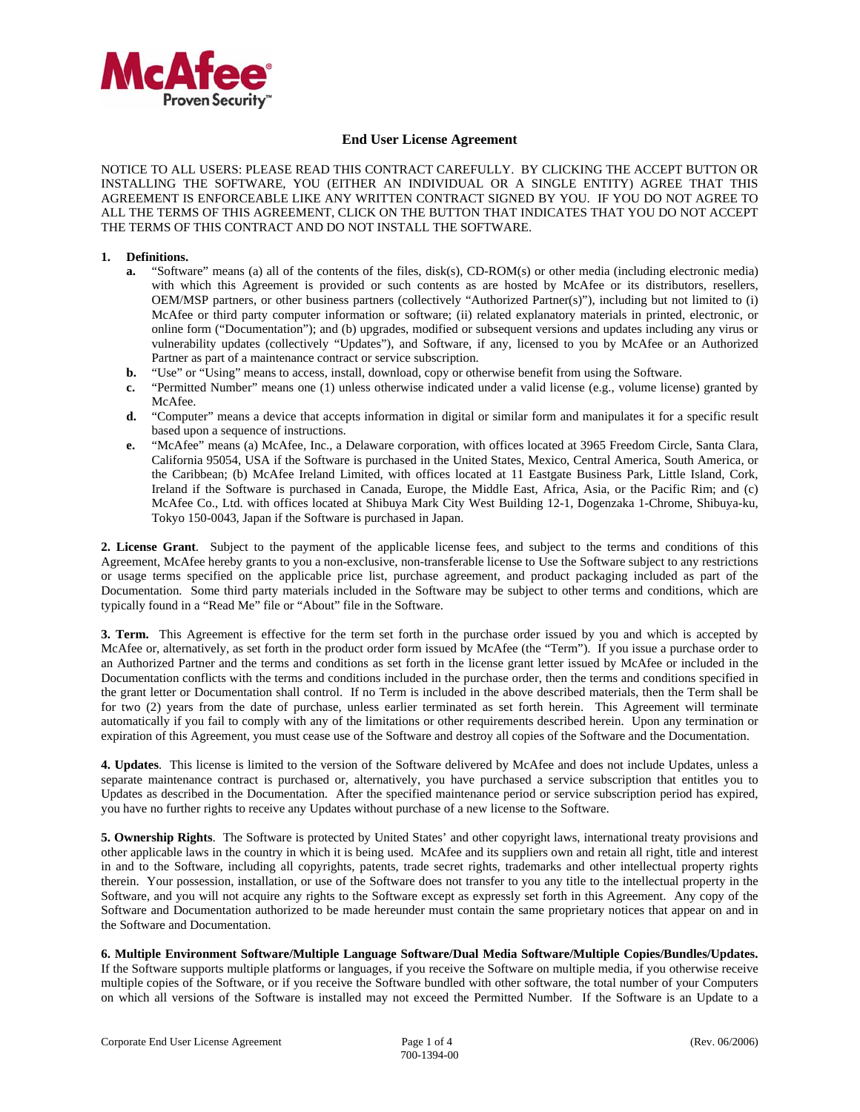

## **End User License Agreement**

NOTICE TO ALL USERS: PLEASE READ THIS CONTRACT CAREFULLY. BY CLICKING THE ACCEPT BUTTON OR INSTALLING THE SOFTWARE, YOU (EITHER AN INDIVIDUAL OR A SINGLE ENTITY) AGREE THAT THIS AGREEMENT IS ENFORCEABLE LIKE ANY WRITTEN CONTRACT SIGNED BY YOU. IF YOU DO NOT AGREE TO ALL THE TERMS OF THIS AGREEMENT, CLICK ON THE BUTTON THAT INDICATES THAT YOU DO NOT ACCEPT THE TERMS OF THIS CONTRACT AND DO NOT INSTALL THE SOFTWARE.

## **1. Definitions.**

- **a.** "Software" means (a) all of the contents of the files, disk(s), CD-ROM(s) or other media (including electronic media) with which this Agreement is provided or such contents as are hosted by McAfee or its distributors, resellers, OEM/MSP partners, or other business partners (collectively "Authorized Partner(s)"), including but not limited to (i) McAfee or third party computer information or software; (ii) related explanatory materials in printed, electronic, or online form ("Documentation"); and (b) upgrades, modified or subsequent versions and updates including any virus or vulnerability updates (collectively "Updates"), and Software, if any, licensed to you by McAfee or an Authorized Partner as part of a maintenance contract or service subscription.
- **b.** "Use" or "Using" means to access, install, download, copy or otherwise benefit from using the Software.
- **c.** "Permitted Number" means one (1) unless otherwise indicated under a valid license (e.g., volume license) granted by McAfee.
- **d.** "Computer" means a device that accepts information in digital or similar form and manipulates it for a specific result based upon a sequence of instructions.
- **e.** "McAfee" means (a) McAfee, Inc., a Delaware corporation, with offices located at 3965 Freedom Circle, Santa Clara, California 95054, USA if the Software is purchased in the United States, Mexico, Central America, South America, or the Caribbean; (b) McAfee Ireland Limited, with offices located at 11 Eastgate Business Park, Little Island, Cork, Ireland if the Software is purchased in Canada, Europe, the Middle East, Africa, Asia, or the Pacific Rim; and (c) McAfee Co., Ltd. with offices located at Shibuya Mark City West Building 12-1, Dogenzaka 1-Chrome, Shibuya-ku, Tokyo 150-0043, Japan if the Software is purchased in Japan.

**2. License Grant**. Subject to the payment of the applicable license fees, and subject to the terms and conditions of this Agreement, McAfee hereby grants to you a non-exclusive, non-transferable license to Use the Software subject to any restrictions or usage terms specified on the applicable price list, purchase agreement, and product packaging included as part of the Documentation. Some third party materials included in the Software may be subject to other terms and conditions, which are typically found in a "Read Me" file or "About" file in the Software.

**3. Term.** This Agreement is effective for the term set forth in the purchase order issued by you and which is accepted by McAfee or, alternatively, as set forth in the product order form issued by McAfee (the "Term"). If you issue a purchase order to an Authorized Partner and the terms and conditions as set forth in the license grant letter issued by McAfee or included in the Documentation conflicts with the terms and conditions included in the purchase order, then the terms and conditions specified in the grant letter or Documentation shall control. If no Term is included in the above described materials, then the Term shall be for two (2) years from the date of purchase, unless earlier terminated as set forth herein. This Agreement will terminate automatically if you fail to comply with any of the limitations or other requirements described herein. Upon any termination or expiration of this Agreement, you must cease use of the Software and destroy all copies of the Software and the Documentation.

**4. Updates**. This license is limited to the version of the Software delivered by McAfee and does not include Updates, unless a separate maintenance contract is purchased or, alternatively, you have purchased a service subscription that entitles you to Updates as described in the Documentation. After the specified maintenance period or service subscription period has expired, you have no further rights to receive any Updates without purchase of a new license to the Software.

**5. Ownership Rights**. The Software is protected by United States' and other copyright laws, international treaty provisions and other applicable laws in the country in which it is being used. McAfee and its suppliers own and retain all right, title and interest in and to the Software, including all copyrights, patents, trade secret rights, trademarks and other intellectual property rights therein. Your possession, installation, or use of the Software does not transfer to you any title to the intellectual property in the Software, and you will not acquire any rights to the Software except as expressly set forth in this Agreement. Any copy of the Software and Documentation authorized to be made hereunder must contain the same proprietary notices that appear on and in the Software and Documentation.

**6. Multiple Environment Software/Multiple Language Software/Dual Media Software/Multiple Copies/Bundles/Updates.**  If the Software supports multiple platforms or languages, if you receive the Software on multiple media, if you otherwise receive multiple copies of the Software, or if you receive the Software bundled with other software, the total number of your Computers on which all versions of the Software is installed may not exceed the Permitted Number. If the Software is an Update to a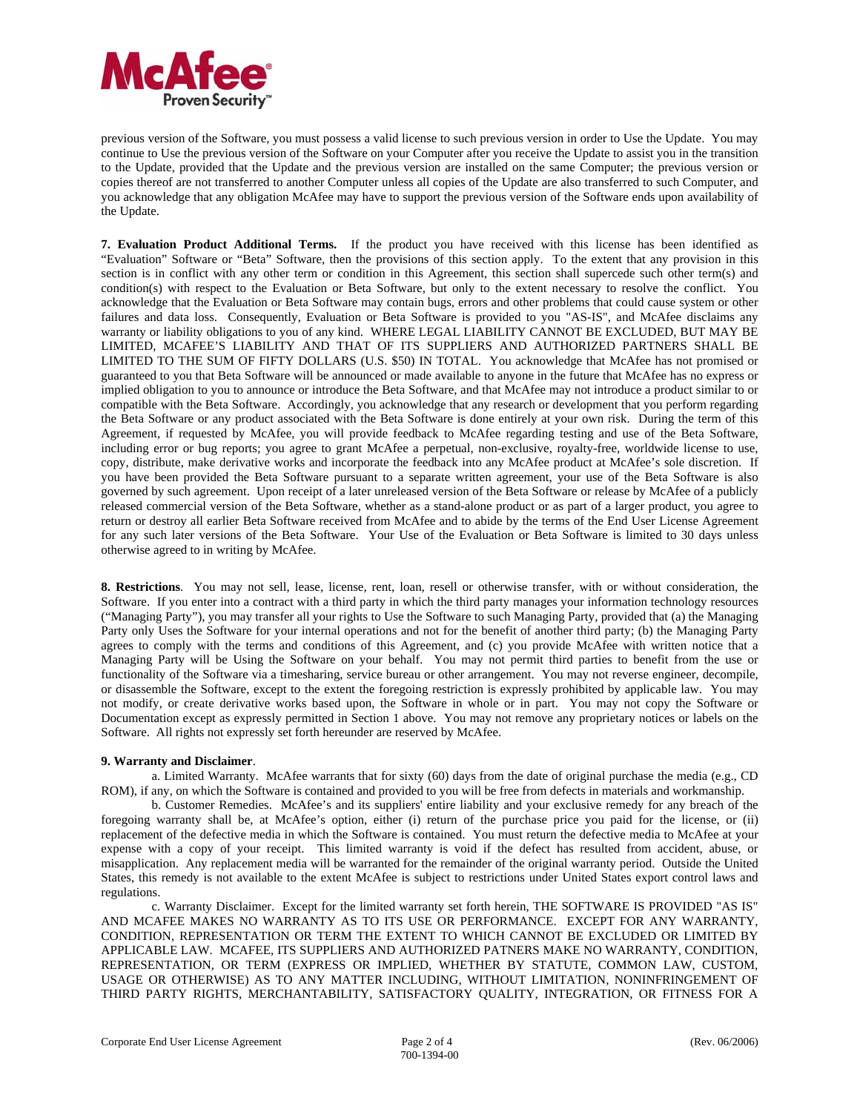

previous version of the Software, you must possess a valid license to such previous version in order to Use the Update. You may continue to Use the previous version of the Software on your Computer after you receive the Update to assist you in the transition to the Update, provided that the Update and the previous version are installed on the same Computer; the previous version or copies thereof are not transferred to another Computer unless all copies of the Update are also transferred to such Computer, and you acknowledge that any obligation McAfee may have to support the previous version of the Software ends upon availability of the Update.

**7. Evaluation Product Additional Terms.** If the product you have received with this license has been identified as "Evaluation" Software or "Beta" Software, then the provisions of this section apply. To the extent that any provision in this section is in conflict with any other term or condition in this Agreement, this section shall supercede such other term(s) and condition(s) with respect to the Evaluation or Beta Software, but only to the extent necessary to resolve the conflict. You acknowledge that the Evaluation or Beta Software may contain bugs, errors and other problems that could cause system or other failures and data loss. Consequently, Evaluation or Beta Software is provided to you "AS-IS", and McAfee disclaims any warranty or liability obligations to you of any kind. WHERE LEGAL LIABILITY CANNOT BE EXCLUDED, BUT MAY BE LIMITED, MCAFEE'S LIABILITY AND THAT OF ITS SUPPLIERS AND AUTHORIZED PARTNERS SHALL BE LIMITED TO THE SUM OF FIFTY DOLLARS (U.S. \$50) IN TOTAL. You acknowledge that McAfee has not promised or guaranteed to you that Beta Software will be announced or made available to anyone in the future that McAfee has no express or implied obligation to you to announce or introduce the Beta Software, and that McAfee may not introduce a product similar to or compatible with the Beta Software. Accordingly, you acknowledge that any research or development that you perform regarding the Beta Software or any product associated with the Beta Software is done entirely at your own risk. During the term of this Agreement, if requested by McAfee, you will provide feedback to McAfee regarding testing and use of the Beta Software, including error or bug reports; you agree to grant McAfee a perpetual, non-exclusive, royalty-free, worldwide license to use, copy, distribute, make derivative works and incorporate the feedback into any McAfee product at McAfee's sole discretion. If you have been provided the Beta Software pursuant to a separate written agreement, your use of the Beta Software is also governed by such agreement. Upon receipt of a later unreleased version of the Beta Software or release by McAfee of a publicly released commercial version of the Beta Software, whether as a stand-alone product or as part of a larger product, you agree to return or destroy all earlier Beta Software received from McAfee and to abide by the terms of the End User License Agreement for any such later versions of the Beta Software. Your Use of the Evaluation or Beta Software is limited to 30 days unless otherwise agreed to in writing by McAfee.

**8. Restrictions**. You may not sell, lease, license, rent, loan, resell or otherwise transfer, with or without consideration, the Software. If you enter into a contract with a third party in which the third party manages your information technology resources ("Managing Party"), you may transfer all your rights to Use the Software to such Managing Party, provided that (a) the Managing Party only Uses the Software for your internal operations and not for the benefit of another third party; (b) the Managing Party agrees to comply with the terms and conditions of this Agreement, and (c) you provide McAfee with written notice that a Managing Party will be Using the Software on your behalf. You may not permit third parties to benefit from the use or functionality of the Software via a timesharing, service bureau or other arrangement. You may not reverse engineer, decompile, or disassemble the Software, except to the extent the foregoing restriction is expressly prohibited by applicable law. You may not modify, or create derivative works based upon, the Software in whole or in part. You may not copy the Software or Documentation except as expressly permitted in Section 1 above. You may not remove any proprietary notices or labels on the Software. All rights not expressly set forth hereunder are reserved by McAfee.

## **9. Warranty and Disclaimer**.

a. Limited Warranty. McAfee warrants that for sixty (60) days from the date of original purchase the media (e.g., CD ROM), if any, on which the Software is contained and provided to you will be free from defects in materials and workmanship.

b. Customer Remedies. McAfee's and its suppliers' entire liability and your exclusive remedy for any breach of the foregoing warranty shall be, at McAfee's option, either (i) return of the purchase price you paid for the license, or (ii) replacement of the defective media in which the Software is contained. You must return the defective media to McAfee at your expense with a copy of your receipt. This limited warranty is void if the defect has resulted from accident, abuse, or misapplication. Any replacement media will be warranted for the remainder of the original warranty period. Outside the United States, this remedy is not available to the extent McAfee is subject to restrictions under United States export control laws and regulations.

c. Warranty Disclaimer. Except for the limited warranty set forth herein, THE SOFTWARE IS PROVIDED "AS IS" AND MCAFEE MAKES NO WARRANTY AS TO ITS USE OR PERFORMANCE. EXCEPT FOR ANY WARRANTY, CONDITION, REPRESENTATION OR TERM THE EXTENT TO WHICH CANNOT BE EXCLUDED OR LIMITED BY APPLICABLE LAW. MCAFEE, ITS SUPPLIERS AND AUTHORIZED PATNERS MAKE NO WARRANTY, CONDITION, REPRESENTATION, OR TERM (EXPRESS OR IMPLIED, WHETHER BY STATUTE, COMMON LAW, CUSTOM, USAGE OR OTHERWISE) AS TO ANY MATTER INCLUDING, WITHOUT LIMITATION, NONINFRINGEMENT OF THIRD PARTY RIGHTS, MERCHANTABILITY, SATISFACTORY QUALITY, INTEGRATION, OR FITNESS FOR A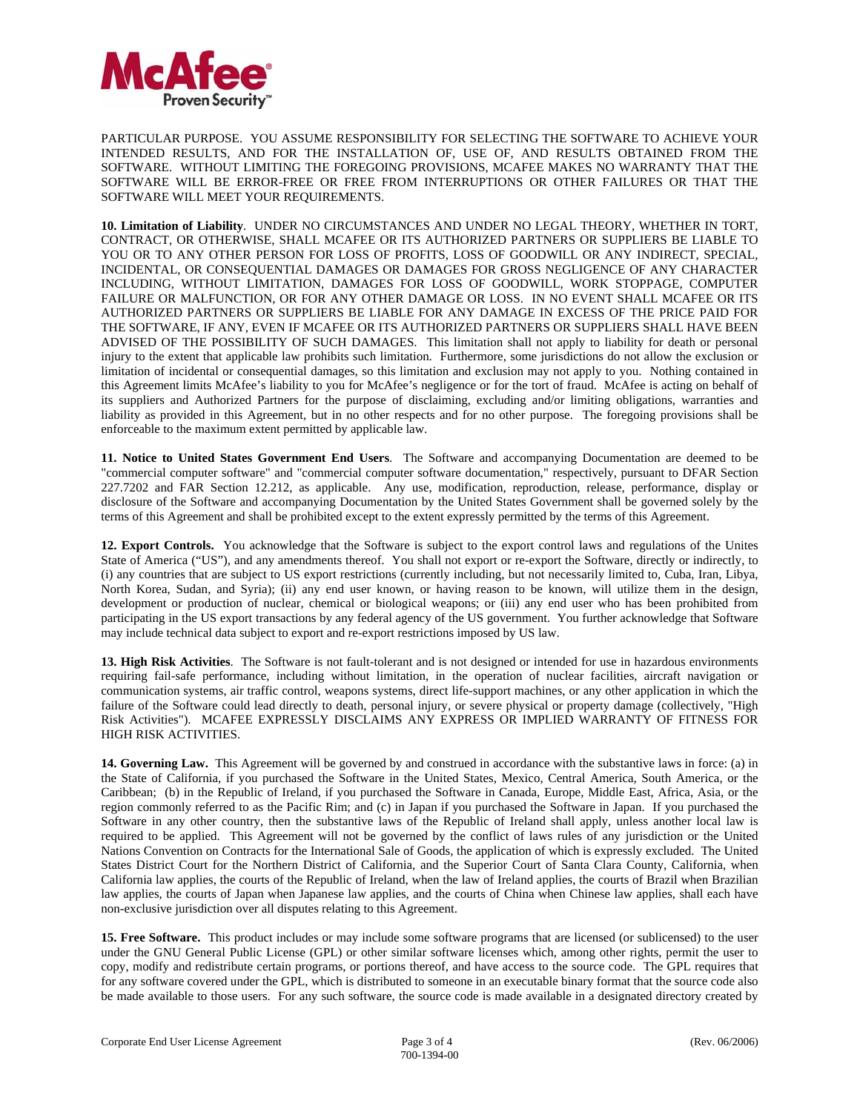

PARTICULAR PURPOSE. YOU ASSUME RESPONSIBILITY FOR SELECTING THE SOFTWARE TO ACHIEVE YOUR INTENDED RESULTS, AND FOR THE INSTALLATION OF, USE OF, AND RESULTS OBTAINED FROM THE SOFTWARE. WITHOUT LIMITING THE FOREGOING PROVISIONS, MCAFEE MAKES NO WARRANTY THAT THE SOFTWARE WILL BE ERROR-FREE OR FREE FROM INTERRUPTIONS OR OTHER FAILURES OR THAT THE SOFTWARE WILL MEET YOUR REQUIREMENTS.

**10. Limitation of Liability**. UNDER NO CIRCUMSTANCES AND UNDER NO LEGAL THEORY, WHETHER IN TORT, CONTRACT, OR OTHERWISE, SHALL MCAFEE OR ITS AUTHORIZED PARTNERS OR SUPPLIERS BE LIABLE TO YOU OR TO ANY OTHER PERSON FOR LOSS OF PROFITS, LOSS OF GOODWILL OR ANY INDIRECT, SPECIAL, INCIDENTAL, OR CONSEQUENTIAL DAMAGES OR DAMAGES FOR GROSS NEGLIGENCE OF ANY CHARACTER INCLUDING, WITHOUT LIMITATION, DAMAGES FOR LOSS OF GOODWILL, WORK STOPPAGE, COMPUTER FAILURE OR MALFUNCTION, OR FOR ANY OTHER DAMAGE OR LOSS. IN NO EVENT SHALL MCAFEE OR ITS AUTHORIZED PARTNERS OR SUPPLIERS BE LIABLE FOR ANY DAMAGE IN EXCESS OF THE PRICE PAID FOR THE SOFTWARE, IF ANY, EVEN IF MCAFEE OR ITS AUTHORIZED PARTNERS OR SUPPLIERS SHALL HAVE BEEN ADVISED OF THE POSSIBILITY OF SUCH DAMAGES. This limitation shall not apply to liability for death or personal injury to the extent that applicable law prohibits such limitation. Furthermore, some jurisdictions do not allow the exclusion or limitation of incidental or consequential damages, so this limitation and exclusion may not apply to you. Nothing contained in this Agreement limits McAfee's liability to you for McAfee's negligence or for the tort of fraud. McAfee is acting on behalf of its suppliers and Authorized Partners for the purpose of disclaiming, excluding and/or limiting obligations, warranties and liability as provided in this Agreement, but in no other respects and for no other purpose. The foregoing provisions shall be enforceable to the maximum extent permitted by applicable law.

**11. Notice to United States Government End Users**. The Software and accompanying Documentation are deemed to be "commercial computer software" and "commercial computer software documentation," respectively, pursuant to DFAR Section 227.7202 and FAR Section 12.212, as applicable. Any use, modification, reproduction, release, performance, display or disclosure of the Software and accompanying Documentation by the United States Government shall be governed solely by the terms of this Agreement and shall be prohibited except to the extent expressly permitted by the terms of this Agreement.

**12. Export Controls.** You acknowledge that the Software is subject to the export control laws and regulations of the Unites State of America ("US"), and any amendments thereof. You shall not export or re-export the Software, directly or indirectly, to (i) any countries that are subject to US export restrictions (currently including, but not necessarily limited to, Cuba, Iran, Libya, North Korea, Sudan, and Syria); (ii) any end user known, or having reason to be known, will utilize them in the design, development or production of nuclear, chemical or biological weapons; or (iii) any end user who has been prohibited from participating in the US export transactions by any federal agency of the US government. You further acknowledge that Software may include technical data subject to export and re-export restrictions imposed by US law.

**13. High Risk Activities**. The Software is not fault-tolerant and is not designed or intended for use in hazardous environments requiring fail-safe performance, including without limitation, in the operation of nuclear facilities, aircraft navigation or communication systems, air traffic control, weapons systems, direct life-support machines, or any other application in which the failure of the Software could lead directly to death, personal injury, or severe physical or property damage (collectively, "High Risk Activities"). MCAFEE EXPRESSLY DISCLAIMS ANY EXPRESS OR IMPLIED WARRANTY OF FITNESS FOR HIGH RISK ACTIVITIES.

**14. Governing Law.** This Agreement will be governed by and construed in accordance with the substantive laws in force: (a) in the State of California, if you purchased the Software in the United States, Mexico, Central America, South America, or the Caribbean; (b) in the Republic of Ireland, if you purchased the Software in Canada, Europe, Middle East, Africa, Asia, or the region commonly referred to as the Pacific Rim; and (c) in Japan if you purchased the Software in Japan. If you purchased the Software in any other country, then the substantive laws of the Republic of Ireland shall apply, unless another local law is required to be applied. This Agreement will not be governed by the conflict of laws rules of any jurisdiction or the United Nations Convention on Contracts for the International Sale of Goods, the application of which is expressly excluded. The United States District Court for the Northern District of California, and the Superior Court of Santa Clara County, California, when California law applies, the courts of the Republic of Ireland, when the law of Ireland applies, the courts of Brazil when Brazilian law applies, the courts of Japan when Japanese law applies, and the courts of China when Chinese law applies, shall each have non-exclusive jurisdiction over all disputes relating to this Agreement.

**15. Free Software.** This product includes or may include some software programs that are licensed (or sublicensed) to the user under the GNU General Public License (GPL) or other similar software licenses which, among other rights, permit the user to copy, modify and redistribute certain programs, or portions thereof, and have access to the source code. The GPL requires that for any software covered under the GPL, which is distributed to someone in an executable binary format that the source code also be made available to those users. For any such software, the source code is made available in a designated directory created by